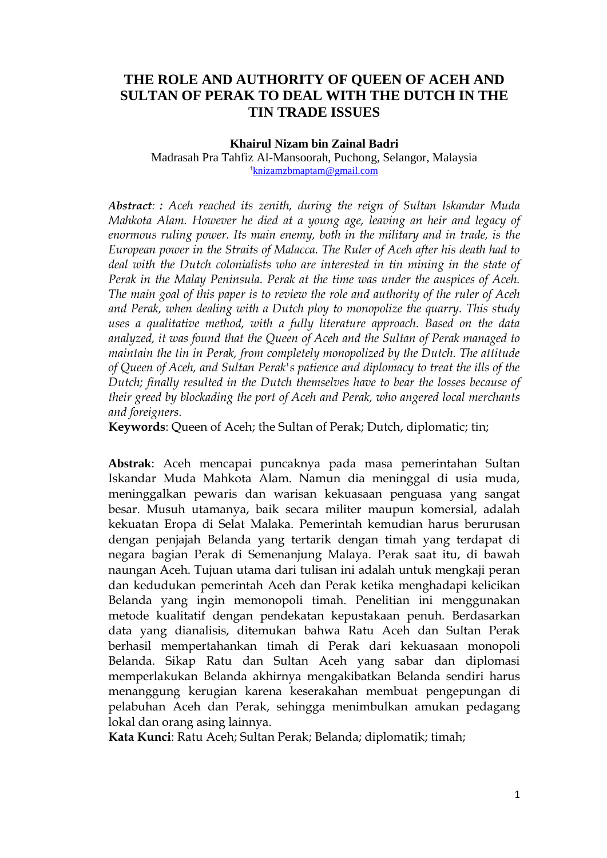# **THE ROLE AND AUTHORITY OF QUEEN OF ACEH AND SULTAN OF PERAK TO DEAL WITH THE DUTCH IN THE TIN TRADE ISSUES**

### **Khairul Nizam bin Zainal Badri**

Madrasah Pra Tahfiz Al-Mansoorah, Puchong, Selangor, Malaysia [knizamzbmaptam@gmail.com](mailto:knizamzbmaptam@gmail.com)

*Abstract: : Aceh reached its zenith, during the reign of Sultan Iskandar Muda Mahkota Alam. However he died at a young age, leaving an heir and legacy of enormous ruling power. Its main enemy, both in the military and in trade, is the European power in the Straits of Malacca. The Ruler of Aceh after his death had to deal with the Dutch colonialists who are interested in tin mining in the state of Perak in the Malay Peninsula. Perak at the time was under the auspices of Aceh. The main goal of this paper is to review the role and authority of the ruler of Aceh*  and Perak, when dealing with a Dutch ploy to monopolize the quarry. This study *uses a qualitative method, with a fully literature approach. Based on the data analyzed, it was found that the Queen of Aceh and the Sultan of Perak managed to maintain the tin in Perak, from completely monopolized by the Dutch. The attitude of Queen of Aceh, and Sultan Perak's patience and diplomacy to treat the ills of the Dutch; finally resulted in the Dutch themselves have to bear the losses because of their greed by blockading the port of Aceh and Perak, who angered local merchants and foreigners.*

**Keywords**: Queen of Aceh; the Sultan of Perak; Dutch, diplomatic; tin;

**Abstrak**: Aceh mencapai puncaknya pada masa pemerintahan Sultan Iskandar Muda Mahkota Alam. Namun dia meninggal di usia muda, meninggalkan pewaris dan warisan kekuasaan penguasa yang sangat besar. Musuh utamanya, baik secara militer maupun komersial, adalah kekuatan Eropa di Selat Malaka. Pemerintah kemudian harus berurusan dengan penjajah Belanda yang tertarik dengan timah yang terdapat di negara bagian Perak di Semenanjung Malaya. Perak saat itu, di bawah naungan Aceh. Tujuan utama dari tulisan ini adalah untuk mengkaji peran dan kedudukan pemerintah Aceh dan Perak ketika menghadapi kelicikan Belanda yang ingin memonopoli timah. Penelitian ini menggunakan metode kualitatif dengan pendekatan kepustakaan penuh. Berdasarkan data yang dianalisis, ditemukan bahwa Ratu Aceh dan Sultan Perak berhasil mempertahankan timah di Perak dari kekuasaan monopoli Belanda. Sikap Ratu dan Sultan Aceh yang sabar dan diplomasi memperlakukan Belanda akhirnya mengakibatkan Belanda sendiri harus menanggung kerugian karena keserakahan membuat pengepungan di pelabuhan Aceh dan Perak, sehingga menimbulkan amukan pedagang lokal dan orang asing lainnya.

**Kata Kunci**: Ratu Aceh; Sultan Perak; Belanda; diplomatik; timah;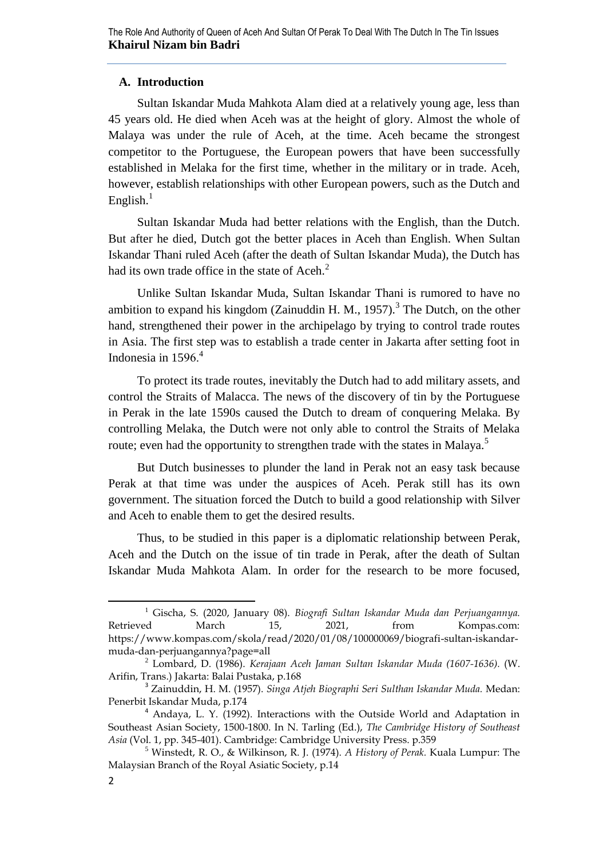## **A. Introduction**

Sultan Iskandar Muda Mahkota Alam died at a relatively young age, less than 45 years old. He died when Aceh was at the height of glory. Almost the whole of Malaya was under the rule of Aceh, at the time. Aceh became the strongest competitor to the Portuguese, the European powers that have been successfully established in Melaka for the first time, whether in the military or in trade. Aceh, however, establish relationships with other European powers, such as the Dutch and English. $1$ 

Sultan Iskandar Muda had better relations with the English, than the Dutch. But after he died, Dutch got the better places in Aceh than English. When Sultan Iskandar Thani ruled Aceh (after the death of Sultan Iskandar Muda), the Dutch has had its own trade office in the state of Aceh. $<sup>2</sup>$ </sup>

Unlike Sultan Iskandar Muda, Sultan Iskandar Thani is rumored to have no ambition to expand his kingdom (Zainuddin H. M., 1957).<sup>3</sup> The Dutch, on the other hand, strengthened their power in the archipelago by trying to control trade routes in Asia. The first step was to establish a trade center in Jakarta after setting foot in Indonesia in  $1596<sup>4</sup>$ 

To protect its trade routes, inevitably the Dutch had to add military assets, and control the Straits of Malacca. The news of the discovery of tin by the Portuguese in Perak in the late 1590s caused the Dutch to dream of conquering Melaka. By controlling Melaka, the Dutch were not only able to control the Straits of Melaka route; even had the opportunity to strengthen trade with the states in Malaya.<sup>5</sup>

But Dutch businesses to plunder the land in Perak not an easy task because Perak at that time was under the auspices of Aceh. Perak still has its own government. The situation forced the Dutch to build a good relationship with Silver and Aceh to enable them to get the desired results.

Thus, to be studied in this paper is a diplomatic relationship between Perak, Aceh and the Dutch on the issue of tin trade in Perak, after the death of Sultan Iskandar Muda Mahkota Alam. In order for the research to be more focused,

<sup>1</sup> Gischa, S. (2020, January 08). *Biografi Sultan Iskandar Muda dan Perjuangannya.* Retrieved March 15, 2021, from Kompas.com: https://www.kompas.com/skola/read/2020/01/08/100000069/biografi-sultan-iskandarmuda-dan-perjuangannya?page=all

<sup>&</sup>lt;sup>2</sup> Lombard, D. (1986). *Kerajaan Aceh Jaman Sultan Iskandar Muda (1607-1636).* (W. Arifin, Trans.) Jakarta: Balai Pustaka, p.168

<sup>3</sup> Zainuddin, H. M. (1957). *Singa Atjeh Biographi Seri Sulthan Iskandar Muda.* Medan: Penerbit Iskandar Muda, p.174

<sup>4</sup> Andaya, L. Y. (1992). Interactions with the Outside World and Adaptation in Southeast Asian Society, 1500-1800. In N. Tarling (Ed.), *The Cambridge History of Southeast Asia* (Vol. 1, pp. 345-401). Cambridge: Cambridge University Press. p.359

<sup>5</sup> Winstedt, R. O., & Wilkinson, R. J. (1974). *A History of Perak.* Kuala Lumpur: The Malaysian Branch of the Royal Asiatic Society, p.14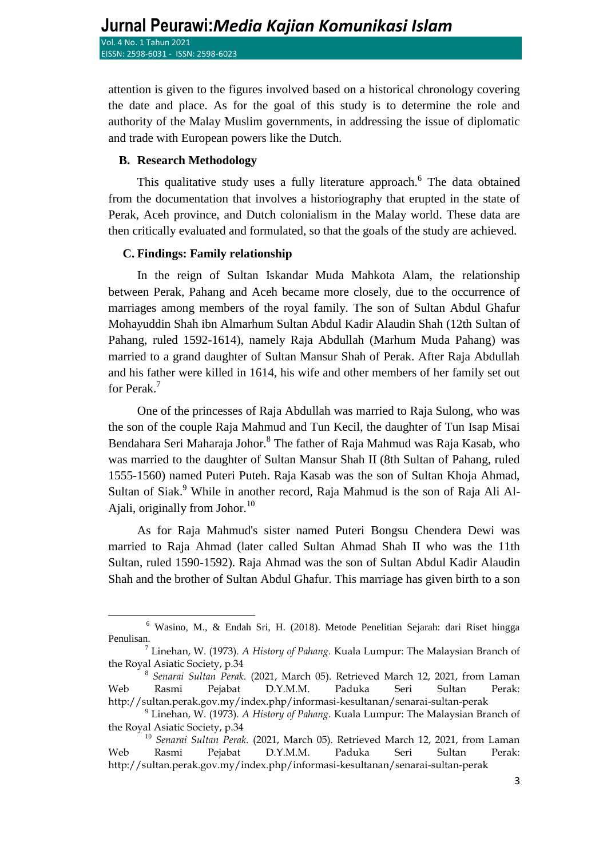attention is given to the figures involved based on a historical chronology covering the date and place. As for the goal of this study is to determine the role and authority of the Malay Muslim governments, in addressing the issue of diplomatic and trade with European powers like the Dutch.

### **B. Research Methodology**

 $\overline{\phantom{a}}$ 

This qualitative study uses a fully literature approach.<sup>6</sup> The data obtained from the documentation that involves a historiography that erupted in the state of Perak, Aceh province, and Dutch colonialism in the Malay world. These data are then critically evaluated and formulated, so that the goals of the study are achieved.

### **C. Findings: Family relationship**

In the reign of Sultan Iskandar Muda Mahkota Alam, the relationship between Perak, Pahang and Aceh became more closely, due to the occurrence of marriages among members of the royal family. The son of Sultan Abdul Ghafur Mohayuddin Shah ibn Almarhum Sultan Abdul Kadir Alaudin Shah (12th Sultan of Pahang, ruled 1592-1614), namely Raja Abdullah (Marhum Muda Pahang) was married to a grand daughter of Sultan Mansur Shah of Perak. After Raja Abdullah and his father were killed in 1614, his wife and other members of her family set out for Perak.<sup>7</sup>

One of the princesses of Raja Abdullah was married to Raja Sulong, who was the son of the couple Raja Mahmud and Tun Kecil, the daughter of Tun Isap Misai Bendahara Seri Maharaja Johor. <sup>8</sup> The father of Raja Mahmud was Raja Kasab, who was married to the daughter of Sultan Mansur Shah II (8th Sultan of Pahang, ruled 1555-1560) named Puteri Puteh. Raja Kasab was the son of Sultan Khoja Ahmad, Sultan of Siak.<sup>9</sup> While in another record, Raja Mahmud is the son of Raja Ali Al-Aiali, originally from Johor. $^{10}$ 

As for Raja Mahmud's sister named Puteri Bongsu Chendera Dewi was married to Raja Ahmad (later called Sultan Ahmad Shah II who was the 11th Sultan, ruled 1590-1592). Raja Ahmad was the son of Sultan Abdul Kadir Alaudin Shah and the brother of Sultan Abdul Ghafur. This marriage has given birth to a son

<sup>6</sup> Wasino, M., & Endah Sri, H. (2018). Metode Penelitian Sejarah: dari Riset hingga Penulisan.

<sup>7</sup> Linehan, W. (1973). *A History of Pahang.* Kuala Lumpur: The Malaysian Branch of the Royal Asiatic Society, p.34

<sup>8</sup> *Senarai Sultan Perak.* (2021, March 05). Retrieved March 12, 2021, from Laman Web Rasmi Pejabat D.Y.M.M. Paduka Seri Sultan Perak: http://sultan.perak.gov.my/index.php/informasi-kesultanan/senarai-sultan-perak

<sup>9</sup> Linehan, W. (1973). *A History of Pahang.* Kuala Lumpur: The Malaysian Branch of the Royal Asiatic Society, p.34

<sup>10</sup> *Senarai Sultan Perak.* (2021, March 05). Retrieved March 12, 2021, from Laman Web Rasmi Pejabat D.Y.M.M. Paduka Seri Sultan Perak: http://sultan.perak.gov.my/index.php/informasi-kesultanan/senarai-sultan-perak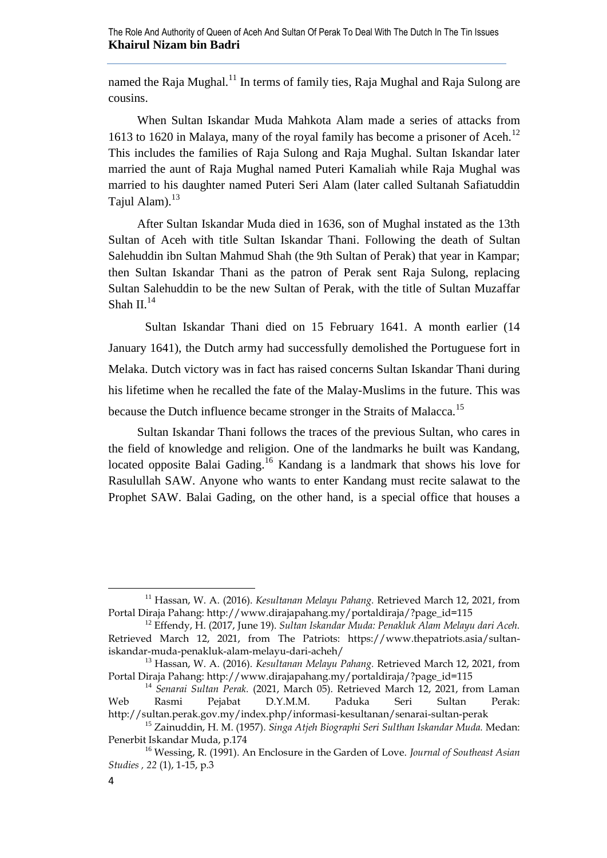named the Raja Mughal.<sup>11</sup> In terms of family ties, Raja Mughal and Raja Sulong are cousins.

When Sultan Iskandar Muda Mahkota Alam made a series of attacks from 1613 to 1620 in Malaya, many of the royal family has become a prisoner of Aceh.<sup>12</sup> This includes the families of Raja Sulong and Raja Mughal. Sultan Iskandar later married the aunt of Raja Mughal named Puteri Kamaliah while Raja Mughal was married to his daughter named Puteri Seri Alam (later called Sultanah Safiatuddin Tajul Alam). $13$ 

After Sultan Iskandar Muda died in 1636, son of Mughal instated as the 13th Sultan of Aceh with title Sultan Iskandar Thani. Following the death of Sultan Salehuddin ibn Sultan Mahmud Shah (the 9th Sultan of Perak) that year in Kampar; then Sultan Iskandar Thani as the patron of Perak sent Raja Sulong, replacing Sultan Salehuddin to be the new Sultan of Perak, with the title of Sultan Muzaffar Shah II. $14$ 

Sultan Iskandar Thani died on 15 February 1641. A month earlier (14 January 1641), the Dutch army had successfully demolished the Portuguese fort in Melaka. Dutch victory was in fact has raised concerns Sultan Iskandar Thani during his lifetime when he recalled the fate of the Malay-Muslims in the future. This was because the Dutch influence became stronger in the Straits of Malacca.<sup>15</sup>

Sultan Iskandar Thani follows the traces of the previous Sultan, who cares in the field of knowledge and religion. One of the landmarks he built was Kandang, located opposite Balai Gading.<sup>16</sup> Kandang is a landmark that shows his love for Rasulullah SAW. Anyone who wants to enter Kandang must recite salawat to the Prophet SAW. Balai Gading, on the other hand, is a special office that houses a

 $\overline{a}$ 

<sup>&</sup>lt;sup>11</sup> Hassan, W. A. (2016). *Kesultanan Melayu Pahang*. Retrieved March 12, 2021, from Portal Diraja Pahang: http://www.dirajapahang.my/portaldiraja/?page\_id=115

<sup>12</sup> Effendy, H. (2017, June 19). *Sultan Iskandar Muda: Penakluk Alam Melayu dari Aceh.* Retrieved March 12, 2021, from The Patriots: https://www.thepatriots.asia/sultaniskandar-muda-penakluk-alam-melayu-dari-acheh/

<sup>13</sup> Hassan, W. A. (2016). *Kesultanan Melayu Pahang.* Retrieved March 12, 2021, from Portal Diraja Pahang: http://www.dirajapahang.my/portaldiraja/?page\_id=115

<sup>14</sup> *Senarai Sultan Perak.* (2021, March 05). Retrieved March 12, 2021, from Laman Web Rasmi Pejabat D.Y.M.M. Paduka Seri Sultan Perak: http://sultan.perak.gov.my/index.php/informasi-kesultanan/senarai-sultan-perak

<sup>15</sup> Zainuddin, H. M. (1957). *Singa Atjeh Biographi Seri Sulthan Iskandar Muda.* Medan: Penerbit Iskandar Muda, p.174

<sup>16</sup> Wessing, R. (1991). An Enclosure in the Garden of Love. *Journal of Southeast Asian Studies* (1), 1-15, p.3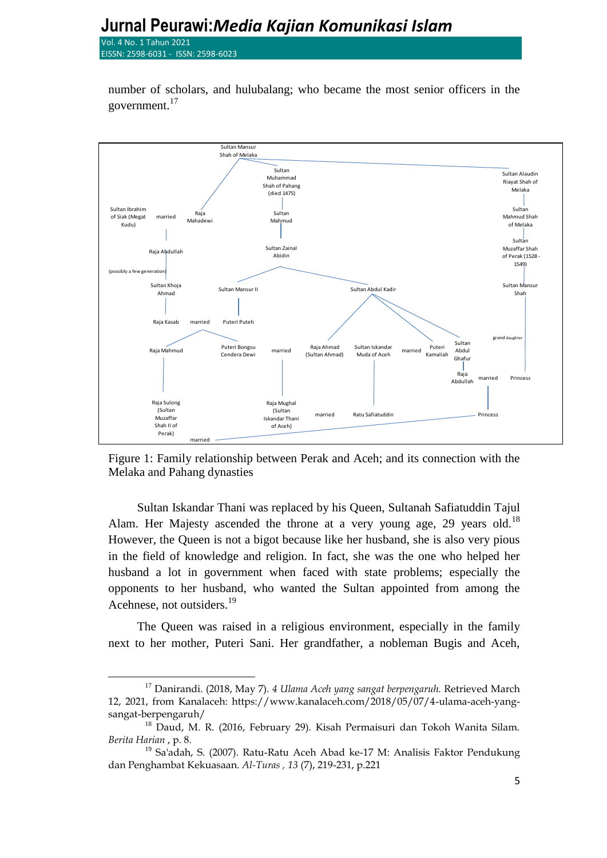# **Jurnal Peurawi:***Media Kajian Komunikasi Islam*

Vol. 4 No. 1 Tahun 2021 EISSN: 2598-6031 - ISSN: 2598-

 $\overline{a}$ 

number of scholars, and hulubalang; who became the most senior officers in the government.<sup>17</sup>



Figure 1: Family relationship between Perak and Aceh; and its connection with the Melaka and Pahang dynasties

Sultan Iskandar Thani was replaced by his Queen, Sultanah Safiatuddin Tajul Alam. Her Majesty ascended the throne at a very young age, 29 years old.<sup>18</sup> However, the Queen is not a bigot because like her husband, she is also very pious in the field of knowledge and religion. In fact, she was the one who helped her husband a lot in government when faced with state problems; especially the opponents to her husband, who wanted the Sultan appointed from among the Acehnese, not outsiders.<sup>19</sup>

The Queen was raised in a religious environment, especially in the family next to her mother, Puteri Sani. Her grandfather, a nobleman Bugis and Aceh,

<sup>17</sup> Danirandi. (2018, May 7). *4 Ulama Aceh yang sangat berpengaruh.* Retrieved March 12, 2021, from Kanalaceh: https://www.kanalaceh.com/2018/05/07/4-ulama-aceh-yangsangat-berpengaruh/

<sup>&</sup>lt;sup>18</sup> Daud, M. R. (2016, February 29). Kisah Permaisuri dan Tokoh Wanita Silam. *Berita Harian* , p. 8.

 $19$  Sa'adah, S. (2007). Ratu-Ratu Aceh Abad ke-17 M: Analisis Faktor Pendukung dan Penghambat Kekuasaan. *Al-Turas* (7), 219-231, p.221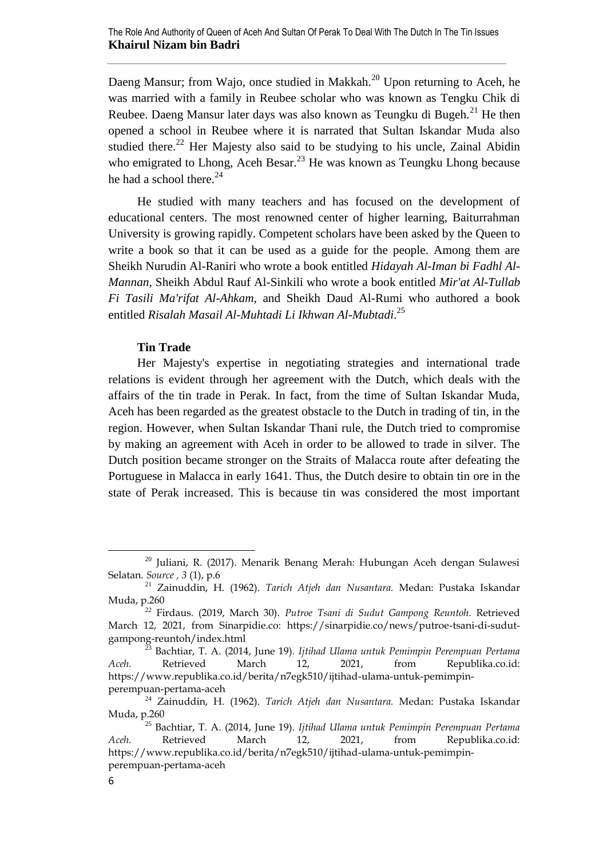Daeng Mansur; from Wajo, once studied in Makkah.<sup>20</sup> Upon returning to Aceh, he was married with a family in Reubee scholar who was known as Tengku Chik di Reubee. Daeng Mansur later days was also known as Teungku di Bugeh.<sup>21</sup> He then opened a school in Reubee where it is narrated that Sultan Iskandar Muda also studied there.<sup>22</sup> Her Majesty also said to be studying to his uncle, Zainal Abidin who emigrated to Lhong, Aceh Besar.<sup>23</sup> He was known as Teungku Lhong because he had a school there. $^{24}$ 

He studied with many teachers and has focused on the development of educational centers. The most renowned center of higher learning, Baiturrahman University is growing rapidly. Competent scholars have been asked by the Queen to write a book so that it can be used as a guide for the people. Among them are Sheikh Nurudin Al-Raniri who wrote a book entitled *Hidayah Al-Iman bi Fadhl Al-Mannan,* Sheikh Abdul Rauf Al-Sinkili who wrote a book entitled *Mir'at Al-Tullab Fi Tasili Ma'rifat Al-Ahkam*, and Sheikh Daud Al-Rumi who authored a book entitled *Risalah Masail Al-Muhtadi Li Ikhwan Al-Mubtadi*. 25

### **Tin Trade**

Her Majesty's expertise in negotiating strategies and international trade relations is evident through her agreement with the Dutch, which deals with the affairs of the tin trade in Perak. In fact, from the time of Sultan Iskandar Muda, Aceh has been regarded as the greatest obstacle to the Dutch in trading of tin, in the region. However, when Sultan Iskandar Thani rule, the Dutch tried to compromise by making an agreement with Aceh in order to be allowed to trade in silver. The Dutch position became stronger on the Straits of Malacca route after defeating the Portuguese in Malacca in early 1641. Thus, the Dutch desire to obtain tin ore in the state of Perak increased. This is because tin was considered the most important

<sup>&</sup>lt;sup>20</sup> Juliani, R. (2017). Menarik Benang Merah: Hubungan Aceh dengan Sulawesi Selatan. *Source*, 3 (1), p.6

<sup>21</sup> Zainuddin, H. (1962). *Tarich Atjeh dan Nusantara.* Medan: Pustaka Iskandar Muda, p.260

<sup>22</sup> Firdaus. (2019, March 30). *Putroe Tsani di Sudut Gampong Reuntoh.* Retrieved March 12, 2021, from Sinarpidie.co: https://sinarpidie.co/news/putroe-tsani-di-sudutgampong-reuntoh/index.html

<sup>23</sup> Bachtiar, T. A. (2014, June 19). *Ijtihad Ulama untuk Pemimpin Perempuan Pertama Aceh.* Retrieved March 12, 2021, from Republika.co.id: https://www.republika.co.id/berita/n7egk510/ijtihad-ulama-untuk-pemimpinperempuan-pertama-aceh

<sup>24</sup> Zainuddin, H. (1962). *Tarich Atjeh dan Nusantara.* Medan: Pustaka Iskandar Muda, p.260

<sup>25</sup> Bachtiar, T. A. (2014, June 19). *Ijtihad Ulama untuk Pemimpin Perempuan Pertama Aceh.* Retrieved March 12, 2021, from Republika.co.id: https://www.republika.co.id/berita/n7egk510/ijtihad-ulama-untuk-pemimpinperempuan-pertama-aceh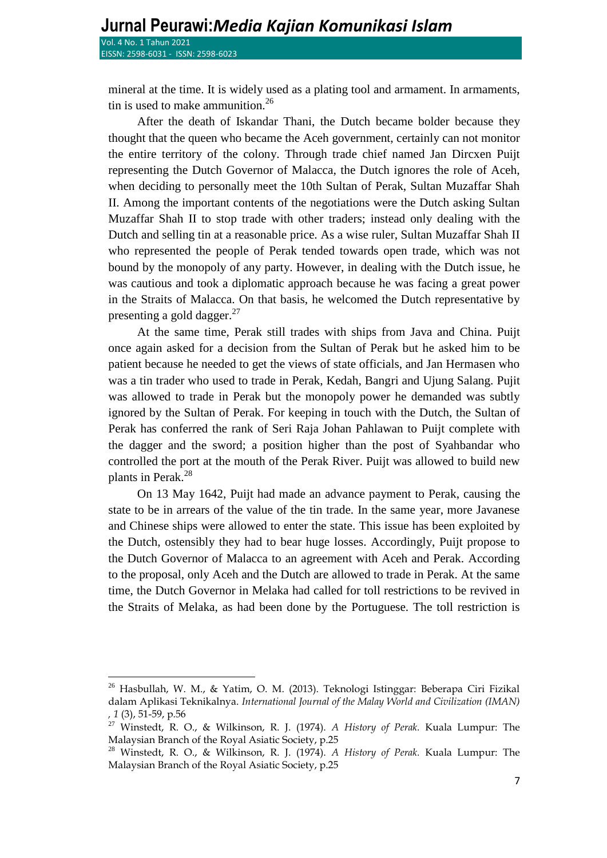$\overline{a}$ 

mineral at the time. It is widely used as a plating tool and armament. In armaments, tin is used to make ammunition. $26$ 

After the death of Iskandar Thani, the Dutch became bolder because they thought that the queen who became the Aceh government, certainly can not monitor the entire territory of the colony. Through trade chief named Jan Dircxen Puijt representing the Dutch Governor of Malacca, the Dutch ignores the role of Aceh, when deciding to personally meet the 10th Sultan of Perak, Sultan Muzaffar Shah II. Among the important contents of the negotiations were the Dutch asking Sultan Muzaffar Shah II to stop trade with other traders; instead only dealing with the Dutch and selling tin at a reasonable price. As a wise ruler, Sultan Muzaffar Shah II who represented the people of Perak tended towards open trade, which was not bound by the monopoly of any party. However, in dealing with the Dutch issue, he was cautious and took a diplomatic approach because he was facing a great power in the Straits of Malacca. On that basis, he welcomed the Dutch representative by presenting a gold dagger. $^{27}$ 

At the same time, Perak still trades with ships from Java and China. Puijt once again asked for a decision from the Sultan of Perak but he asked him to be patient because he needed to get the views of state officials, and Jan Hermasen who was a tin trader who used to trade in Perak, Kedah, Bangri and Ujung Salang. Pujit was allowed to trade in Perak but the monopoly power he demanded was subtly ignored by the Sultan of Perak. For keeping in touch with the Dutch, the Sultan of Perak has conferred the rank of Seri Raja Johan Pahlawan to Puijt complete with the dagger and the sword; a position higher than the post of Syahbandar who controlled the port at the mouth of the Perak River. Puijt was allowed to build new plants in Perak.<sup>28</sup>

On 13 May 1642, Puijt had made an advance payment to Perak, causing the state to be in arrears of the value of the tin trade. In the same year, more Javanese and Chinese ships were allowed to enter the state. This issue has been exploited by the Dutch, ostensibly they had to bear huge losses. Accordingly, Puijt propose to the Dutch Governor of Malacca to an agreement with Aceh and Perak. According to the proposal, only Aceh and the Dutch are allowed to trade in Perak. At the same time, the Dutch Governor in Melaka had called for toll restrictions to be revived in the Straits of Melaka, as had been done by the Portuguese. The toll restriction is

<sup>26</sup> Hasbullah, W. M., & Yatim, O. M. (2013). Teknologi Istinggar: Beberapa Ciri Fizikal dalam Aplikasi Teknikalnya. *International Journal of the Malay World and Civilization (IMAN)* (3), 51-59, p.56

<sup>27</sup> Winstedt, R. O., & Wilkinson, R. J. (1974). *A History of Perak.* Kuala Lumpur: The Malaysian Branch of the Royal Asiatic Society, p.25

<sup>28</sup> Winstedt, R. O., & Wilkinson, R. J. (1974). *A History of Perak.* Kuala Lumpur: The Malaysian Branch of the Royal Asiatic Society, p.25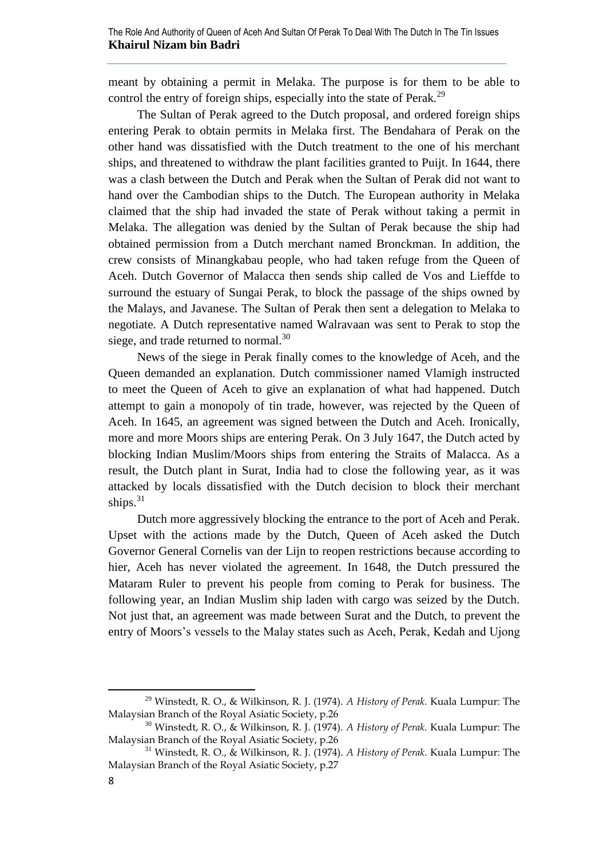meant by obtaining a permit in Melaka. The purpose is for them to be able to control the entry of foreign ships, especially into the state of Perak.<sup>29</sup>

The Sultan of Perak agreed to the Dutch proposal, and ordered foreign ships entering Perak to obtain permits in Melaka first. The Bendahara of Perak on the other hand was dissatisfied with the Dutch treatment to the one of his merchant ships, and threatened to withdraw the plant facilities granted to Puijt. In 1644, there was a clash between the Dutch and Perak when the Sultan of Perak did not want to hand over the Cambodian ships to the Dutch. The European authority in Melaka claimed that the ship had invaded the state of Perak without taking a permit in Melaka. The allegation was denied by the Sultan of Perak because the ship had obtained permission from a Dutch merchant named Bronckman. In addition, the crew consists of Minangkabau people, who had taken refuge from the Queen of Aceh. Dutch Governor of Malacca then sends ship called de Vos and Lieffde to surround the estuary of Sungai Perak, to block the passage of the ships owned by the Malays, and Javanese. The Sultan of Perak then sent a delegation to Melaka to negotiate. A Dutch representative named Walravaan was sent to Perak to stop the siege, and trade returned to normal. $30$ 

News of the siege in Perak finally comes to the knowledge of Aceh, and the Queen demanded an explanation. Dutch commissioner named Vlamigh instructed to meet the Queen of Aceh to give an explanation of what had happened. Dutch attempt to gain a monopoly of tin trade, however, was rejected by the Queen of Aceh. In 1645, an agreement was signed between the Dutch and Aceh. Ironically, more and more Moors ships are entering Perak. On 3 July 1647, the Dutch acted by blocking Indian Muslim/Moors ships from entering the Straits of Malacca. As a result, the Dutch plant in Surat, India had to close the following year, as it was attacked by locals dissatisfied with the Dutch decision to block their merchant ships. $31$ 

Dutch more aggressively blocking the entrance to the port of Aceh and Perak. Upset with the actions made by the Dutch, Queen of Aceh asked the Dutch Governor General Cornelis van der Lijn to reopen restrictions because according to hier, Aceh has never violated the agreement. In 1648, the Dutch pressured the Mataram Ruler to prevent his people from coming to Perak for business. The following year, an Indian Muslim ship laden with cargo was seized by the Dutch. Not just that, an agreement was made between Surat and the Dutch, to prevent the entry of Moors's vessels to the Malay states such as Aceh, Perak, Kedah and Ujong

<sup>29</sup> Winstedt, R. O., & Wilkinson, R. J. (1974). *A History of Perak.* Kuala Lumpur: The Malaysian Branch of the Royal Asiatic Society, p.26

<sup>30</sup> Winstedt, R. O., & Wilkinson, R. J. (1974). *A History of Perak.* Kuala Lumpur: The Malaysian Branch of the Royal Asiatic Society, p.26

<sup>31</sup> Winstedt, R. O., & Wilkinson, R. J. (1974). *A History of Perak.* Kuala Lumpur: The Malaysian Branch of the Royal Asiatic Society, p.27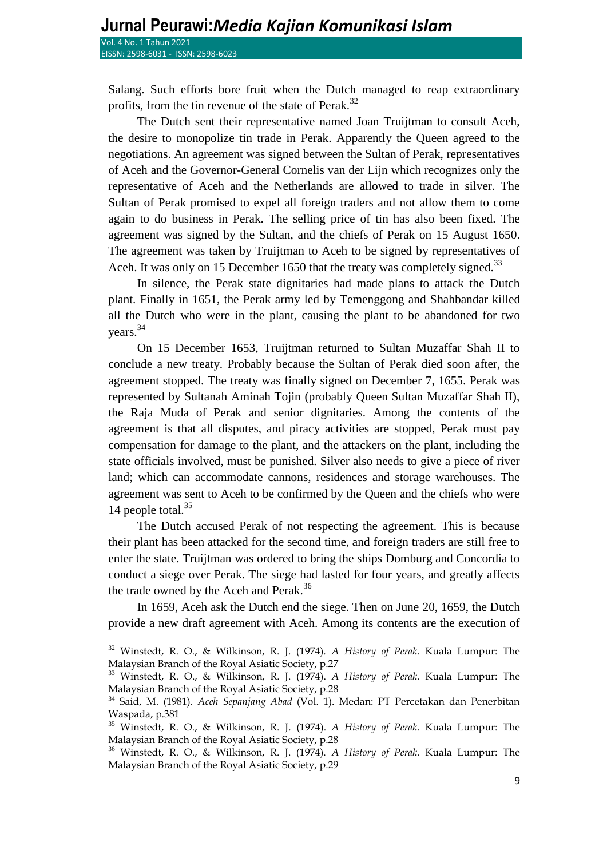$\overline{a}$ 

Salang. Such efforts bore fruit when the Dutch managed to reap extraordinary profits, from the tin revenue of the state of Perak.<sup>32</sup>

The Dutch sent their representative named Joan Truijtman to consult Aceh, the desire to monopolize tin trade in Perak. Apparently the Queen agreed to the negotiations. An agreement was signed between the Sultan of Perak, representatives of Aceh and the Governor-General Cornelis van der Lijn which recognizes only the representative of Aceh and the Netherlands are allowed to trade in silver. The Sultan of Perak promised to expel all foreign traders and not allow them to come again to do business in Perak. The selling price of tin has also been fixed. The agreement was signed by the Sultan, and the chiefs of Perak on 15 August 1650. The agreement was taken by Truijtman to Aceh to be signed by representatives of Aceh. It was only on 15 December 1650 that the treaty was completely signed.<sup>33</sup>

In silence, the Perak state dignitaries had made plans to attack the Dutch plant. Finally in 1651, the Perak army led by Temenggong and Shahbandar killed all the Dutch who were in the plant, causing the plant to be abandoned for two years.<sup>34</sup>

On 15 December 1653, Truijtman returned to Sultan Muzaffar Shah II to conclude a new treaty. Probably because the Sultan of Perak died soon after, the agreement stopped. The treaty was finally signed on December 7, 1655. Perak was represented by Sultanah Aminah Tojin (probably Queen Sultan Muzaffar Shah II), the Raja Muda of Perak and senior dignitaries. Among the contents of the agreement is that all disputes, and piracy activities are stopped, Perak must pay compensation for damage to the plant, and the attackers on the plant, including the state officials involved, must be punished. Silver also needs to give a piece of river land; which can accommodate cannons, residences and storage warehouses. The agreement was sent to Aceh to be confirmed by the Queen and the chiefs who were 14 people total.<sup>35</sup>

The Dutch accused Perak of not respecting the agreement. This is because their plant has been attacked for the second time, and foreign traders are still free to enter the state. Truijtman was ordered to bring the ships Domburg and Concordia to conduct a siege over Perak. The siege had lasted for four years, and greatly affects the trade owned by the Aceh and Perak.<sup>36</sup>

In 1659, Aceh ask the Dutch end the siege. Then on June 20, 1659, the Dutch provide a new draft agreement with Aceh. Among its contents are the execution of

<sup>32</sup> Winstedt, R. O., & Wilkinson, R. J. (1974). *A History of Perak.* Kuala Lumpur: The Malaysian Branch of the Royal Asiatic Society, p.27

<sup>33</sup> Winstedt, R. O., & Wilkinson, R. J. (1974). *A History of Perak.* Kuala Lumpur: The Malaysian Branch of the Royal Asiatic Society, p.28

<sup>34</sup> Said, M. (1981). *Aceh Sepanjang Abad* (Vol. 1). Medan: PT Percetakan dan Penerbitan Waspada, p.381

<sup>35</sup> Winstedt, R. O., & Wilkinson, R. J. (1974). *A History of Perak.* Kuala Lumpur: The Malaysian Branch of the Royal Asiatic Society, p.28

<sup>36</sup> Winstedt, R. O., & Wilkinson, R. J. (1974). *A History of Perak.* Kuala Lumpur: The Malaysian Branch of the Royal Asiatic Society, p.29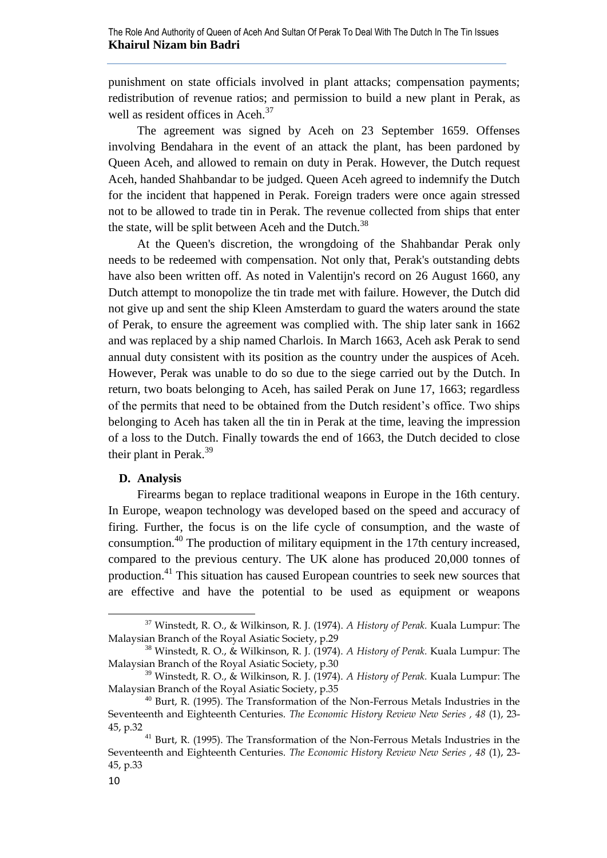punishment on state officials involved in plant attacks; compensation payments; redistribution of revenue ratios; and permission to build a new plant in Perak, as well as resident offices in Aceh.<sup>37</sup>

The agreement was signed by Aceh on 23 September 1659. Offenses involving Bendahara in the event of an attack the plant, has been pardoned by Queen Aceh, and allowed to remain on duty in Perak. However, the Dutch request Aceh, handed Shahbandar to be judged. Queen Aceh agreed to indemnify the Dutch for the incident that happened in Perak. Foreign traders were once again stressed not to be allowed to trade tin in Perak. The revenue collected from ships that enter the state, will be split between Aceh and the Dutch.<sup>38</sup>

At the Queen's discretion, the wrongdoing of the Shahbandar Perak only needs to be redeemed with compensation. Not only that, Perak's outstanding debts have also been written off. As noted in Valentijn's record on 26 August 1660, any Dutch attempt to monopolize the tin trade met with failure. However, the Dutch did not give up and sent the ship Kleen Amsterdam to guard the waters around the state of Perak, to ensure the agreement was complied with. The ship later sank in 1662 and was replaced by a ship named Charlois. In March 1663, Aceh ask Perak to send annual duty consistent with its position as the country under the auspices of Aceh. However, Perak was unable to do so due to the siege carried out by the Dutch. In return, two boats belonging to Aceh, has sailed Perak on June 17, 1663; regardless of the permits that need to be obtained from the Dutch resident's office Two ships belonging to Aceh has taken all the tin in Perak at the time, leaving the impression of a loss to the Dutch. Finally towards the end of 1663, the Dutch decided to close their plant in Perak.<sup>39</sup>

# **D. Analysis**

Firearms began to replace traditional weapons in Europe in the 16th century. In Europe, weapon technology was developed based on the speed and accuracy of firing. Further, the focus is on the life cycle of consumption, and the waste of consumption.<sup>40</sup> The production of military equipment in the 17th century increased, compared to the previous century. The UK alone has produced 20,000 tonnes of production.<sup>41</sup> This situation has caused European countries to seek new sources that are effective and have the potential to be used as equipment or weapons

<sup>37</sup> Winstedt, R. O., & Wilkinson, R. J. (1974). *A History of Perak.* Kuala Lumpur: The Malaysian Branch of the Royal Asiatic Society, p.29

<sup>38</sup> Winstedt, R. O., & Wilkinson, R. J. (1974). *A History of Perak.* Kuala Lumpur: The Malaysian Branch of the Royal Asiatic Society, p.30

<sup>39</sup> Winstedt, R. O., & Wilkinson, R. J. (1974). *A History of Perak.* Kuala Lumpur: The Malaysian Branch of the Royal Asiatic Society, p.35

<sup>40</sup> Burt, R. (1995). The Transformation of the Non-Ferrous Metals Industries in the Seventeenth and Eighteenth Centuries. *The Economic History Review New Series* , 48 (1), 23-45, p.32

<sup>&</sup>lt;sup>41</sup> Burt, R. (1995). The Transformation of the Non-Ferrous Metals Industries in the Seventeenth and Eighteenth Centuries. *The Economic History Review New Series*, 48 (1), 23-45, p.33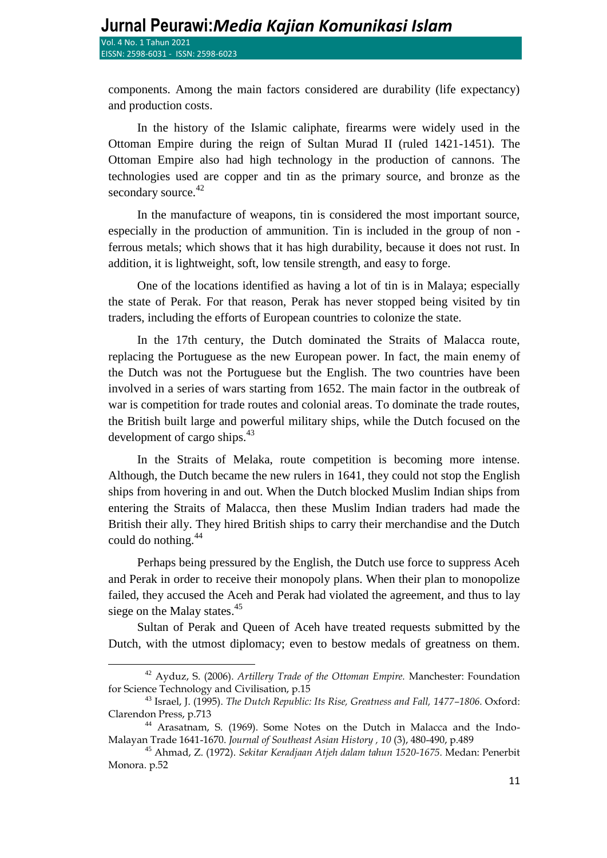l

components. Among the main factors considered are durability (life expectancy) and production costs.

In the history of the Islamic caliphate, firearms were widely used in the Ottoman Empire during the reign of Sultan Murad II (ruled 1421-1451). The Ottoman Empire also had high technology in the production of cannons. The technologies used are copper and tin as the primary source, and bronze as the secondary source.<sup>42</sup>

In the manufacture of weapons, tin is considered the most important source, especially in the production of ammunition. Tin is included in the group of non ferrous metals; which shows that it has high durability, because it does not rust. In addition, it is lightweight, soft, low tensile strength, and easy to forge.

One of the locations identified as having a lot of tin is in Malaya; especially the state of Perak. For that reason, Perak has never stopped being visited by tin traders, including the efforts of European countries to colonize the state.

In the 17th century, the Dutch dominated the Straits of Malacca route, replacing the Portuguese as the new European power. In fact, the main enemy of the Dutch was not the Portuguese but the English. The two countries have been involved in a series of wars starting from 1652. The main factor in the outbreak of war is competition for trade routes and colonial areas. To dominate the trade routes, the British built large and powerful military ships, while the Dutch focused on the development of cargo ships. $43$ 

In the Straits of Melaka, route competition is becoming more intense. Although, the Dutch became the new rulers in 1641, they could not stop the English ships from hovering in and out. When the Dutch blocked Muslim Indian ships from entering the Straits of Malacca, then these Muslim Indian traders had made the British their ally. They hired British ships to carry their merchandise and the Dutch could do nothing.<sup>44</sup>

Perhaps being pressured by the English, the Dutch use force to suppress Aceh and Perak in order to receive their monopoly plans. When their plan to monopolize failed, they accused the Aceh and Perak had violated the agreement, and thus to lay siege on the Malay states. $45$ 

Sultan of Perak and Queen of Aceh have treated requests submitted by the Dutch, with the utmost diplomacy; even to bestow medals of greatness on them.

<sup>&</sup>lt;sup>42</sup> Ayduz, S. (2006). Artillery Trade of the Ottoman Empire. Manchester: Foundation for Science Technology and Civilisation, p.15

<sup>&</sup>lt;sup>43</sup> Israel, J. (1995). *The Dutch Republic: Its Rise, Greatness and Fall, 1477-1806. Oxford:* Clarendon Press, p.713

<sup>&</sup>lt;sup>44</sup> Arasatnam, S. (1969). Some Notes on the Dutch in Malacca and the Indo-Malayan Trade 1641-1670. Journal of Southeast Asian History , 10 (3), 480-490, p.489

<sup>&</sup>lt;sup>45</sup> Ahmad, Z. (1972). *Sekitar Keradjaan Atjeh dalam tahun 1520-1675*. Medan: Penerbit Monora. p.52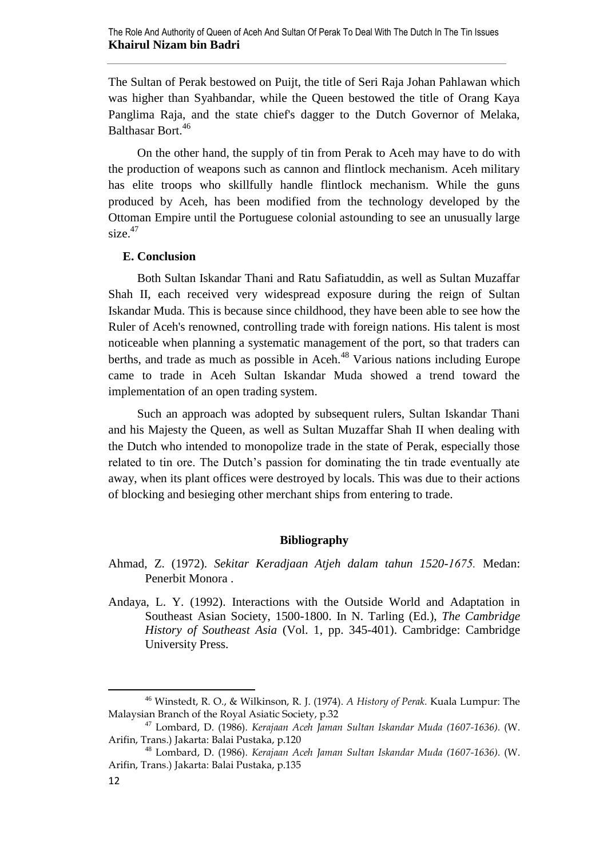The Sultan of Perak bestowed on Puijt, the title of Seri Raja Johan Pahlawan which was higher than Syahbandar, while the Queen bestowed the title of Orang Kaya Panglima Raja, and the state chief's dagger to the Dutch Governor of Melaka, Balthasar Bort.<sup>46</sup>

On the other hand, the supply of tin from Perak to Aceh may have to do with the production of weapons such as cannon and flintlock mechanism. Aceh military has elite troops who skillfully handle flintlock mechanism. While the guns produced by Aceh, has been modified from the technology developed by the Ottoman Empire until the Portuguese colonial astounding to see an unusually large size.<sup>47</sup>

### **E. Conclusion**

Both Sultan Iskandar Thani and Ratu Safiatuddin, as well as Sultan Muzaffar Shah II, each received very widespread exposure during the reign of Sultan Iskandar Muda. This is because since childhood, they have been able to see how the Ruler of Aceh's renowned, controlling trade with foreign nations. His talent is most noticeable when planning a systematic management of the port, so that traders can berths, and trade as much as possible in Aceh.<sup>48</sup> Various nations including Europe came to trade in Aceh Sultan Iskandar Muda showed a trend toward the implementation of an open trading system.

Such an approach was adopted by subsequent rulers, Sultan Iskandar Thani and his Majesty the Queen, as well as Sultan Muzaffar Shah II when dealing with the Dutch who intended to monopolize trade in the state of Perak, especially those related to tin ore. The Dutch's passion for dominating the tin trade eventually ate away, when its plant offices were destroyed by locals. This was due to their actions of blocking and besieging other merchant ships from entering to trade.

## **Bibliography**

- Ahmad, Z. (1972). *Sekitar Keradjaan Atjeh dalam tahun 1520-1675*. Medan: Penerbit Monora .
- Andaya, L. Y. (1992). Interactions with the Outside World and Adaptation in Southeast Asian Society, 1500-1800. In N. Tarling (Ed.), *The Cambridge History of Southeast Asia* (Vol. 1, pp. 345-401). Cambridge: Cambridge University Press.

<sup>46</sup> Winstedt, R. O., & Wilkinson, R. J. (1974). *A History of Perak.* Kuala Lumpur: The Malaysian Branch of the Royal Asiatic Society, p.32

<sup>&</sup>lt;sup>47</sup> Lombard, D. (1986). *Kerajaan Aceh Jaman Sultan Iskandar Muda (1607-1636).* (W. Arifin, Trans.) Jakarta: Balai Pustaka, p.120

<sup>&</sup>lt;sup>48</sup> Lombard, D. (1986). *Kerajaan Aceh Jaman Sultan Iskandar Muda (1607-1636).* (W. Arifin, Trans.) Jakarta: Balai Pustaka, p.135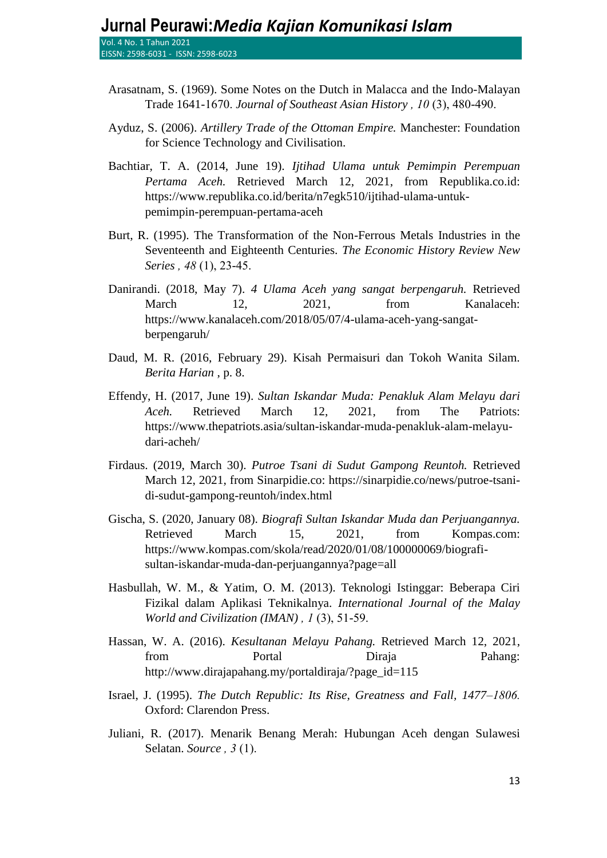- Arasatnam, S. (1969). Some Notes on the Dutch in Malacca and the Indo-Malayan Trade 1641-1670. Journal of Southeast Asian History, 10(3), 480-490.
- Ayduz, S. (2006). *Artillery Trade of the Ottoman Empire.* Manchester: Foundation for Science Technology and Civilisation.
- Bachtiar, T. A. (2014, June 19). *Ijtihad Ulama untuk Pemimpin Perempuan Pertama Aceh.* Retrieved March 12, 2021, from Republika.co.id: https://www.republika.co.id/berita/n7egk510/ijtihad-ulama-untukpemimpin-perempuan-pertama-aceh
- Burt, R. (1995). The Transformation of the Non-Ferrous Metals Industries in the Seventeenth and Eighteenth Centuries. *The Economic History Review New Series*, 48(1), 23-45.
- Danirandi. (2018, May 7). *4 Ulama Aceh yang sangat berpengaruh.* Retrieved March 12, 2021, from Kanalaceh: https://www.kanalaceh.com/2018/05/07/4-ulama-aceh-yang-sangatberpengaruh/
- Daud, M. R. (2016, February 29). Kisah Permaisuri dan Tokoh Wanita Silam. *Berita Harian* , p. 8.
- Effendy, H. (2017, June 19). *Sultan Iskandar Muda: Penakluk Alam Melayu dari Aceh.* Retrieved March 12, 2021, from The Patriots: https://www.thepatriots.asia/sultan-iskandar-muda-penakluk-alam-melayudari-acheh/
- Firdaus. (2019, March 30). *Putroe Tsani di Sudut Gampong Reuntoh.* Retrieved March 12, 2021, from Sinarpidie.co: https://sinarpidie.co/news/putroe-tsanidi-sudut-gampong-reuntoh/index.html
- Gischa, S. (2020, January 08). *Biografi Sultan Iskandar Muda dan Perjuangannya.* Retrieved March 15, 2021, from Kompas.com: https://www.kompas.com/skola/read/2020/01/08/100000069/biografisultan-iskandar-muda-dan-perjuangannya?page=all
- Hasbullah, W. M., & Yatim, O. M. (2013). Teknologi Istinggar: Beberapa Ciri Fizikal dalam Aplikasi Teknikalnya. *International Journal of the Malay World and Civilization (IMAN)*, *1* (3), 51-59.
- Hassan, W. A. (2016). *Kesultanan Melayu Pahang.* Retrieved March 12, 2021, from Portal Diraja Pahang: http://www.dirajapahang.my/portaldiraja/?page\_id=115
- Israel, J. (1995). *The Dutch Republic: Its Rise, Greatness and Fall, 1477–1806.* Oxford: Clarendon Press.
- Juliani, R. (2017). Menarik Benang Merah: Hubungan Aceh dengan Sulawesi Selatan. *Source*